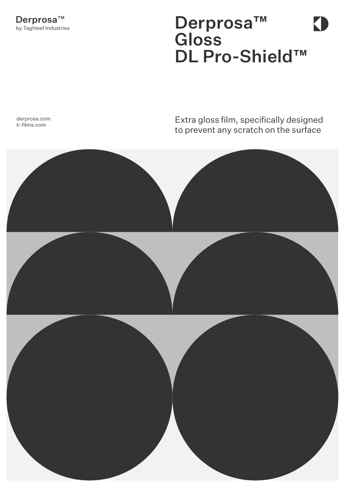## Derprosa™ **Gloss** DL Pro-Shield™

**KI** 

derprosa.com ti-films.com

## Extra gloss film, specifically designed to prevent any scratch on the surface